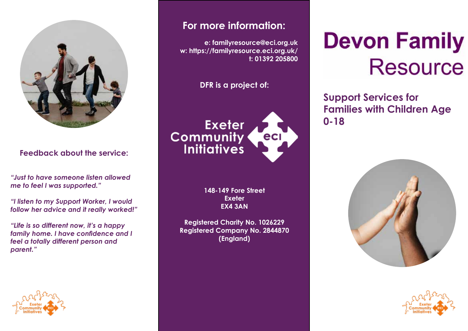

#### **Feedback about the service:**

*"Just to have someone listen allowed me to feel I was supported."*

*"I listen to my Support Worker, I would follow her advice and it really worked!"*

*"Life is so different now, it's a happy family home. I have confidence and I feel a totally different person and parent."*



## **For more information:**

**e: familyresource@eci.org.uk w: https://familyresource.eci.org.uk/ t: 01392 205800** 

**DFR is a project of:**

**Exeter Community<br>Initiatives** eci

> **148-149 Fore Street Exeter EX4 3AN**

**Registered Charity No. 1026229 Registered Company No. 2844870 (England)**

# **Devon Family Resource**

**Support Services for Families with Children Age 0-18**